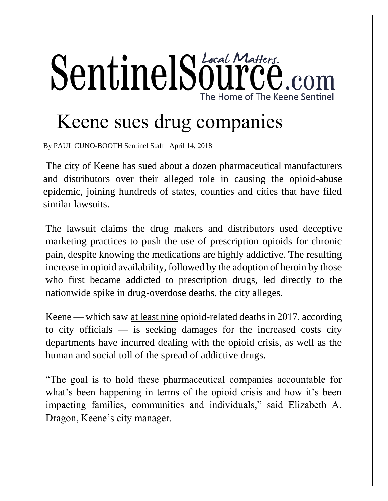## SentinelSource .com The Home of The Keene Sentinel

## Keene sues drug companies

By PAUL CUNO-BOOTH Sentinel Staff | April 14, 2018

The city of Keene has sued about a dozen pharmaceutical manufacturers and distributors over their alleged role in causing the opioid-abuse epidemic, joining hundreds of states, counties and cities that have filed similar lawsuits.

The lawsuit claims the drug makers and distributors used deceptive marketing practices to push the use of prescription opioids for chronic pain, despite knowing the medications are highly addictive. The resulting increase in opioid availability, followed by the adoption of heroin by those who first became addicted to prescription drugs, led directly to the nationwide spike in drug-overdose deaths, the city alleges.

Keene — which saw [at least nine](http://www.sentinelsource.com/news/local/keene-opioid-deaths-up-in/article_b8722d51-d453-55c0-b927-4b629cb18f2a.html) opioid-related deaths in 2017, according to city officials — is seeking damages for the increased costs city departments have incurred dealing with the opioid crisis, as well as the human and social toll of the spread of addictive drugs.

"The goal is to hold these pharmaceutical companies accountable for what's been happening in terms of the opioid crisis and how it's been impacting families, communities and individuals," said Elizabeth A. Dragon, Keene's city manager.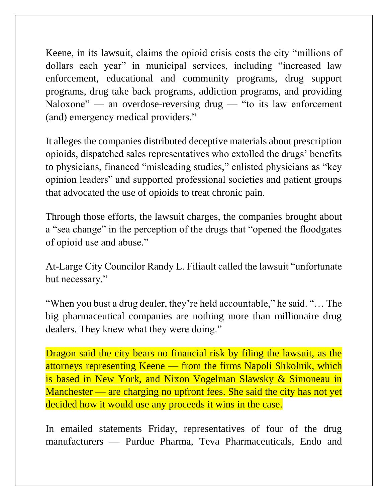Keene, in its lawsuit, claims the opioid crisis costs the city "millions of dollars each year" in municipal services, including "increased law enforcement, educational and community programs, drug support programs, drug take back programs, addiction programs, and providing Naloxone" — an overdose-reversing drug — "to its law enforcement (and) emergency medical providers."

It alleges the companies distributed deceptive materials about prescription opioids, dispatched sales representatives who extolled the drugs' benefits to physicians, financed "misleading studies," enlisted physicians as "key opinion leaders" and supported professional societies and patient groups that advocated the use of opioids to treat chronic pain.

Through those efforts, the lawsuit charges, the companies brought about a "sea change" in the perception of the drugs that "opened the floodgates of opioid use and abuse."

At-Large City Councilor Randy L. Filiault called the lawsuit "unfortunate but necessary."

"When you bust a drug dealer, they're held accountable," he said. "… The big pharmaceutical companies are nothing more than millionaire drug dealers. They knew what they were doing."

Dragon said the city bears no financial risk by filing the lawsuit, as the attorneys representing Keene — from the firms Napoli Shkolnik, which is based in New York, and Nixon Vogelman Slawsky & Simoneau in Manchester — are charging no upfront fees. She said the city has not yet decided how it would use any proceeds it wins in the case.

In emailed statements Friday, representatives of four of the drug manufacturers — Purdue Pharma, Teva Pharmaceuticals, Endo and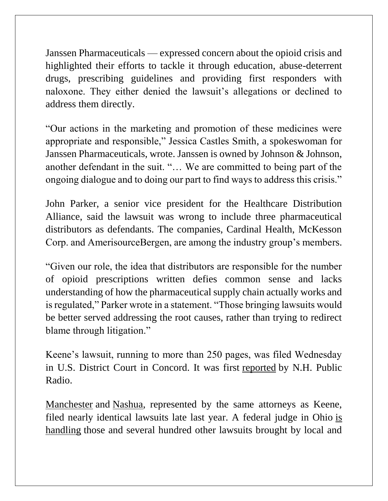Janssen Pharmaceuticals — expressed concern about the opioid crisis and highlighted their efforts to tackle it through education, abuse-deterrent drugs, prescribing guidelines and providing first responders with naloxone. They either denied the lawsuit's allegations or declined to address them directly.

"Our actions in the marketing and promotion of these medicines were appropriate and responsible," Jessica Castles Smith, a spokeswoman for Janssen Pharmaceuticals, wrote. Janssen is owned by Johnson & Johnson, another defendant in the suit. "… We are committed to being part of the ongoing dialogue and to doing our part to find ways to address this crisis."

John Parker, a senior vice president for the Healthcare Distribution Alliance, said the lawsuit was wrong to include three pharmaceutical distributors as defendants. The companies, Cardinal Health, McKesson Corp. and AmerisourceBergen, are among the industry group's members.

"Given our role, the idea that distributors are responsible for the number of opioid prescriptions written defies common sense and lacks understanding of how the pharmaceutical supply chain actually works and is regulated," Parker wrote in a statement. "Those bringing lawsuits would be better served addressing the root causes, rather than trying to redirect blame through litigation."

Keene's lawsuit, running to more than 250 pages, was filed Wednesday in U.S. District Court in Concord. It was first [reported](http://nhpr.org/post/keene-joins-communities-seeking-payout-drug-firms-opioid-abuse) by N.H. Public Radio.

[Manchester](http://nhpr.org/post/seeking-payback-opioid-costs-manchester-files-suit-against-drug-makers#stream/0) and [Nashua,](http://nhpr.org/post/nashua-becomes-second-nh-city-take-opioid-companies-court#stream/0) represented by the same attorneys as Keene, filed nearly identical lawsuits late last year. A federal judge in Ohio [is](https://www.reuters.com/article/us-usa-opioids-litigation/u-s-judge-schedules-2019-trial-in-opioid-litigation-idUSKBN1HI3EI)  [handling](https://www.reuters.com/article/us-usa-opioids-litigation/u-s-judge-schedules-2019-trial-in-opioid-litigation-idUSKBN1HI3EI) those and several hundred other lawsuits brought by local and